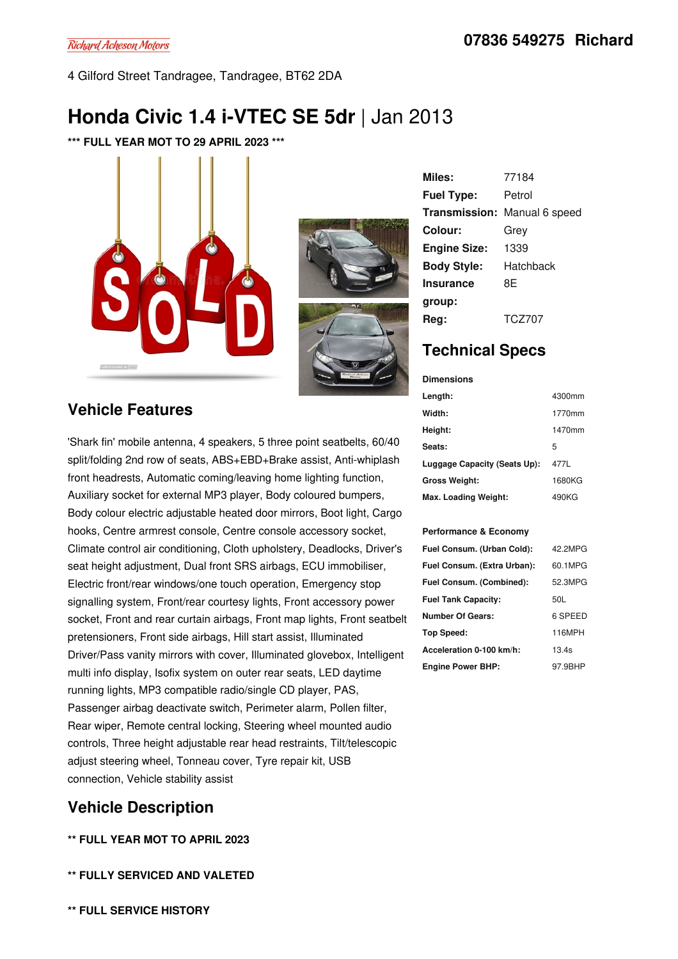4 Gilford Street Tandragee, Tandragee, BT62 2DA

# **Honda Civic 1.4 i-VTEC SE 5dr** |Jan 2013

**\*\*\* FULL YEAR MOT TO 29 APRIL 2023 \*\*\***





**Miles:** 77184 **Fuel Type:** Petrol **Transmission:** Manual 6 speed **Colour:** Grey **Engine Size:** 1339 **Body Style:** Hatchback **Insurance group:** 8E **Reg:** TCZ707

## **Technical Specs**

#### **Dimensions**

| Length:                      | 4300mm |
|------------------------------|--------|
| Width:                       | 1770mm |
| Height:                      | 1470mm |
| Seats:                       | 5      |
| Luggage Capacity (Seats Up): | 477L   |
| <b>Gross Weight:</b>         | 1680KG |
| Max. Loading Weight:         | 490KG  |

#### **Performance & Economy**

| Fuel Consum. (Urban Cold):  | 42.2MPG |
|-----------------------------|---------|
| Fuel Consum. (Extra Urban): | 60.1MPG |
| Fuel Consum. (Combined):    | 52.3MPG |
| <b>Fuel Tank Capacity:</b>  | 50L     |
| <b>Number Of Gears:</b>     | 6 SPEED |
| Top Speed:                  | 116MPH  |
| Acceleration 0-100 km/h:    | 13.4s   |
| <b>Engine Power BHP:</b>    | 97.9BHP |

### **Vehicle Features**

'Shark fin' mobile antenna, 4 speakers, 5 three point seatbelts, 60/40 split/folding 2nd row of seats, ABS+EBD+Brake assist, Anti-whiplash front headrests, Automatic coming/leaving home lighting function, Auxiliary socket for external MP3 player, Body coloured bumpers, Body colour electric adjustable heated door mirrors, Boot light, Cargo hooks, Centre armrest console, Centre console accessory socket, Climate control air conditioning, Cloth upholstery, Deadlocks, Driver's seat height adjustment, Dual front SRS airbags, ECU immobiliser, Electric front/rear windows/one touch operation, Emergency stop signalling system, Front/rear courtesy lights, Front accessory power socket, Front and rear curtain airbags, Front map lights, Front seatbelt pretensioners, Front side airbags, Hill start assist, Illuminated Driver/Pass vanity mirrors with cover, Illuminated glovebox, Intelligent multi info display, Isofix system on outer rear seats, LED daytime running lights, MP3 compatible radio/single CD player, PAS, Passenger airbag deactivate switch, Perimeter alarm, Pollen filter, Rear wiper, Remote central locking, Steering wheel mounted audio controls, Three height adjustable rear head restraints, Tilt/telescopic adjust steering wheel, Tonneau cover, Tyre repair kit, USB connection, Vehicle stability assist

## **Vehicle Description**

- **\*\* FULL YEAR MOT TO APRIL 2023**
- **\*\* FULLY SERVICED AND VALETED**
- **\*\* FULL SERVICE HISTORY**